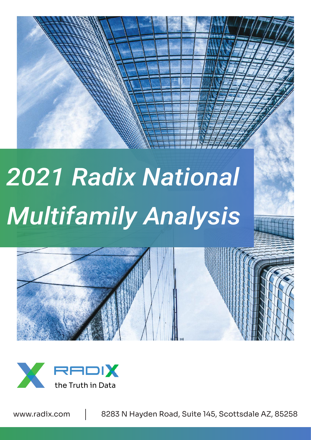# *2021 Radix National Multifamily Analysis*





www.radix.com | 8283 N Hayden Road, Suite 145, Scottsdale AZ, 85258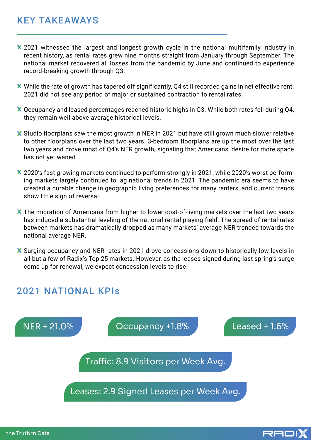#### KEY TAKEAWAYS

- X 2021 witnessed the largest and longest growth cycle in the national multifamily industry in recent history, as rental rates grew nine months straight from January through September. The national market recovered all losses from the pandemic by June and continued to experience record-breaking growth through Q3.
- While the rate of growth has tapered off significantly, Q4 still recorded gains in net effective rent. 2021 did not see any period of major or sustained contraction to rental rates.
- Occupancy and leased percentages reached historic highs in Q3. While both rates fell during Q4, they remain well above average historical levels.
- X Studio floorplans saw the most growth in NER in 2021 but have still grown much slower relative to other floorplans over the last two years. 3-bedroom floorplans are up the most over the last two years and drove most of Q4's NER growth, signaling that Americans' desire for more space has not yet waned.
- X 2020's fast growing markets continued to perform strongly in 2021, while 2020's worst performing markets largely continued to lag national trends in 2021. The pandemic era seems to have created a durable change in geographic living preferences for many renters, and current trends show little sign of reversal.
- X The migration of Americans from higher to lower cost-of-living markets over the last two years has induced a substantial leveling of the national rental playing field. The spread of rental rates between markets has dramatically dropped as many markets' average NER trended towards the national average NER.
- X Surging occupancy and NER rates in 2021 drove concessions down to historically low levels in all but a few of Radix's Top 25 markets. However, as the leases signed during last spring's surge come up for renewal, we expect concession levels to rise.

## 2021 NATIONAL KPIs



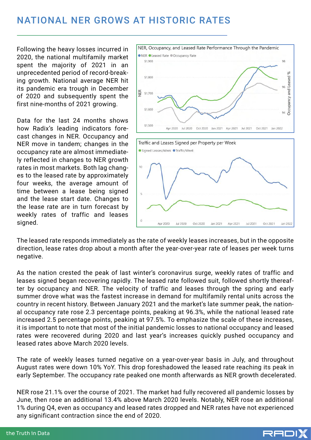## NATIONAL NER GROWS AT HISTORIC RATES

Following the heavy losses incurred in 2020, the national multifamily market spent the majority of 2021 in an unprecedented period of record-breaking growth. National average NER hit its pandemic era trough in December of 2020 and subsequently spent the first nine-months of 2021 growing.

Data for the last 24 months shows how Radix's leading indicators forecast changes in NER. Occupancy and NER move in tandem; changes in the occupancy rate are almost immediately reflected in changes to NER growth rates in most markets. Both lag changes to the leased rate by approximately four weeks, the average amount of time between a lease being signed and the lease start date. Changes to the lease rate are in turn forecast by weekly rates of traffic and leases signed.



The leased rate responds immediately as the rate of weekly leases increases, but in the opposite direction, lease rates drop about a month after the year-over-year rate of leases per week turns negative.

As the nation crested the peak of last winter's coronavirus surge, weekly rates of traffic and leases signed began recovering rapidly. The leased rate followed suit, followed shortly thereafter by occupancy and NER. The velocity of traffic and leases through the spring and early summer drove what was the fastest increase in demand for multifamily rental units across the country in recent history. Between January 2021 and the market's late summer peak, the national occupancy rate rose 2.3 percentage points, peaking at 96.3%, while the national leased rate increased 2.5 percentage points, peaking at 97.5%. To emphasize the scale of these increases, it is important to note that most of the initial pandemic losses to national occupancy and leased rates were recovered during 2020 and last year's increases quickly pushed occupancy and leased rates above March 2020 levels.

The rate of weekly leases turned negative on a year-over-year basis in July, and throughout August rates were down 10% YoY. This drop foreshadowed the leased rate reaching its peak in early September. The occupancy rate peaked one month afterwards as NER growth decelerated.

NER rose 21.1% over the course of 2021. The market had fully recovered all pandemic losses by June, then rose an additional 13.4% above March 2020 levels. Notably, NER rose an additional 1% during Q4, even as occupancy and leased rates dropped and NER rates have not experienced any significant contraction since the end of 2020.

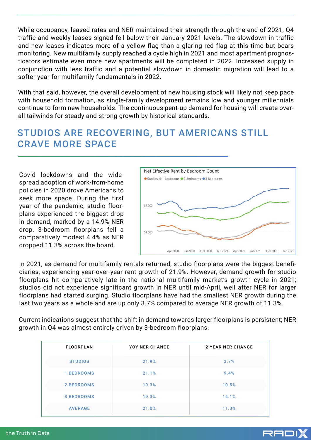While occupancy, leased rates and NER maintained their strength through the end of 2021, Q4 traffic and weekly leases signed fell below their January 2021 levels. The slowdown in traffic and new leases indicates more of a yellow flag than a glaring red flag at this time but bears monitoring. New multifamily supply reached a cycle high in 2021 and most apartment prognosticators estimate even more new apartments will be completed in 2022. Increased supply in conjunction with less traffic and a potential slowdown in domestic migration will lead to a softer year for multifamily fundamentals in 2022.

With that said, however, the overall development of new housing stock will likely not keep pace with household formation, as single-family development remains low and younger millennials continue to form new households. The continuous pent-up demand for housing will create overall tailwinds for steady and strong growth by historical standards.

## STUDIOS ARE RECOVERING, BUT AMERICANS STILL CRAVE MORE SPACE

Covid lockdowns and the widespread adoption of work-from-home policies in 2020 drove Americans to seek more space. During the first year of the pandemic, studio floorplans experienced the biggest drop in demand, marked by a 14.9% NER drop. 3-bedroom floorplans fell a comparatively modest 4.4% as NER dropped 11.3% across the board.



In 2021, as demand for multifamily rentals returned, studio floorplans were the biggest beneficiaries, experiencing year-over-year rent growth of 21.9%. However, demand growth for studio floorplans hit comparatively late in the national multifamily market's growth cycle in 2021; studios did not experience significant growth in NER until mid-April, well after NER for larger floorplans had started surging. Studio floorplans have had the smallest NER growth during the last two years as a whole and are up only 3.7% compared to average NER growth of 11.3%.

Current indications suggest that the shift in demand towards larger floorplans is persistent; NER growth in Q4 was almost entirely driven by 3-bedroom floorplans.

| <b>FLOORPLAN</b>  | YOY NER CHANGE | <b>2 YEAR NER CHANGE</b> |  |  |
|-------------------|----------------|--------------------------|--|--|
| <b>STUDIOS</b>    | 21.9%          | 3.7%                     |  |  |
| <b>1 BEDROOMS</b> | 21.1%          | 9.4%                     |  |  |
| 2 BEDROOMS        | 19.3%          | 10.5%                    |  |  |
| <b>3 BEDROOMS</b> | 19.3%          | 14.1%                    |  |  |
| <b>AVERAGE</b>    | 21.0%          | 11.3%                    |  |  |

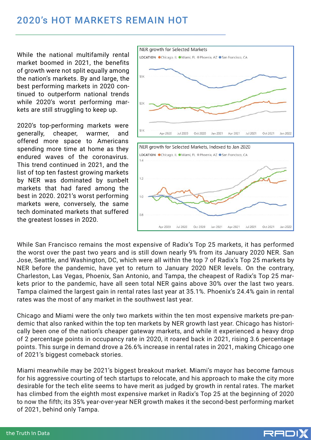### 2020's HOT MARKETS REMAIN HOT

While the national multifamily rental market boomed in 2021, the benefits of growth were not split equally among the nation's markets. By and large, the best performing markets in 2020 continued to outperform national trends while 2020's worst performing markets are still struggling to keep up.

2020's top-performing markets were generally, cheaper, warmer, and offered more space to Americans spending more time at home as they endured waves of the coronavirus. This trend continued in 2021, and the list of top ten fastest growing markets by NER was dominated by sunbelt markets that had fared among the best in 2020. 2021's worst performing markets were, conversely, the same tech dominated markets that suffered the greatest losses in 2020.



While San Francisco remains the most expensive of Radix's Top 25 markets, it has performed the worst over the past two years and is still down nearly 9% from its January 2020 NER. San Jose, Seattle, and Washington, DC, which were all within the top 7 of Radix's Top 25 markets by NER before the pandemic, have yet to return to January 2020 NER levels. On the contrary, Charleston, Las Vegas, Phoenix, San Antonio, and Tampa, the cheapest of Radix's Top 25 markets prior to the pandemic, have all seen total NER gains above 30% over the last two years. Tampa claimed the largest gain in rental rates last year at 35.1%. Phoenix's 24.4% gain in rental rates was the most of any market in the southwest last year.

Chicago and Miami were the only two markets within the ten most expensive markets pre-pandemic that also ranked within the top ten markets by NER growth last year. Chicago has historically been one of the nation's cheaper gateway markets, and while it experienced a heavy drop of 2 percentage points in occupancy rate in 2020, it roared back in 2021, rising 3.6 percentage points. This surge in demand drove a 26.6% increase in rental rates in 2021, making Chicago one of 2021's biggest comeback stories.

Miami meanwhile may be 2021's biggest breakout market. Miami's mayor has become famous for his aggressive courting of tech startups to relocate, and his approach to make the city more desirable for the tech elite seems to have merit as judged by growth in rental rates. The market has climbed from the eighth most expensive market in Radix's Top 25 at the beginning of 2020 to now the fifth; its 35% year-over-year NER growth makes it the second-best performing market of 2021, behind only Tampa.

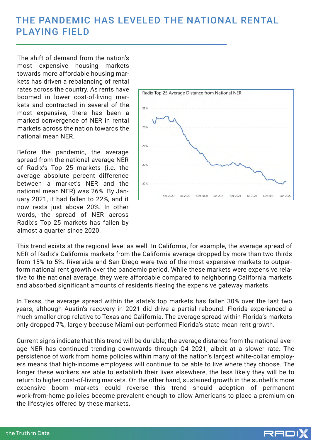### THE PANDEMIC HAS LEVELED THE NATIONAL RENTAL PLAYING FIELD

The shift of demand from the nation's most expensive housing markets towards more affordable housing markets has driven a rebalancing of rental rates across the country. As rents have boomed in lower cost-of-living markets and contracted in several of the most expensive, there has been a marked convergence of NER in rental markets across the nation towards the national mean NER.

Before the pandemic, the average spread from the national average NER of Radix's Top 25 markets (i.e. the average absolute percent difference between a market's NER and the national mean NER) was 26%. By January 2021, it had fallen to 22%, and it now rests just above 20%. In other words, the spread of NER across Radix's Top 25 markets has fallen by almost a quarter since 2020.



This trend exists at the regional level as well. In California, for example, the average spread of NER of Radix's California markets from the California average dropped by more than two thirds from 15% to 5%. Riverside and San Diego were two of the most expensive markets to outperform national rent growth over the pandemic period. While these markets were expensive relative to the national average, they were affordable compared to neighboring California markets and absorbed significant amounts of residents fleeing the expensive gateway markets.

In Texas, the average spread within the state's top markets has fallen 30% over the last two years, although Austin's recovery in 2021 did drive a partial rebound. Florida experienced a much smaller drop relative to Texas and California. The average spread within Florida's markets only dropped 7%, largely because Miami out-performed Florida's state mean rent growth.

Current signs indicate that this trend will be durable; the average distance from the national average NER has continued trending downwards through Q4 2021, albeit at a slower rate. The persistence of work from home policies within many of the nation's largest white-collar employers means that high-income employees will continue to be able to live where they choose. The longer these workers are able to establish their lives elsewhere, the less likely they will be to return to higher cost-of-living markets. On the other hand, sustained growth in the sunbelt's more expensive boom markets could reverse this trend should adoption of permanent work-from-home policies become prevalent enough to allow Americans to place a premium on the lifestyles offered by these markets.

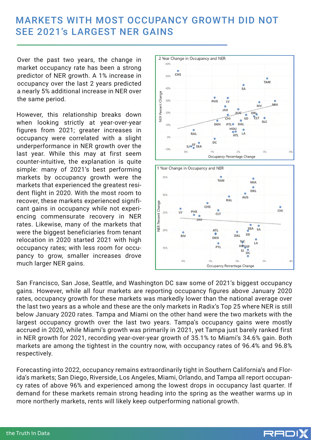### MARKETS WITH MOST OCCUPANCY GROWTH DID NOT SEE 2021's LARGEST NER GAINS

Over the past two years, the change in market occupancy rate has been a strong predictor of NER growth. A 1% increase in occupancy over the last 2 years predicted a nearly 5% additional increase in NER over the same period.

However, this relationship breaks down when looking strictly at year-over-year figures from 2021; greater increases in occupancy were correlated with a slight underperformance in NER growth over the last year. While this may at first seem counter-intuitive, the explanation is quite simple: many of 2021's best performing markets by occupancy growth were the markets that experienced the greatest resident flight in 2020. With the most room to recover, these markets experienced significant gains in occupancy while not experiencing commensurate recovery in NER rates. Likewise, many of the markets that were the biggest beneficiaries from tenant relocation in 2020 started 2021 with high occupancy rates; with less room for occupancy to grow, smaller increases drove much larger NER gains.





San Francisco, San Jose, Seattle, and Washington DC saw some of 2021's biggest occupancy gains. However, while all four markets are reporting occupancy figures above January 2020 rates, occupancy growth for these markets was markedly lower than the national average over the last two years as a whole and these are the only markets in Radix's Top 25 where NER is still below January 2020 rates. Tampa and Miami on the other hand were the two markets with the largest occupancy growth over the last two years. Tampa's occupancy gains were mostly accrued in 2020, while Miami's growth was primarily in 2021, yet Tampa just barely ranked first in NER growth for 2021, recording year-over-year growth of 35.1% to Miami's 34.6% gain. Both markets are among the tightest in the country now, with occupancy rates of 96.4% and 96.8% respectively.

Forecasting into 2022, occupancy remains extraordinarily tight in Southern California's and Florida's markets; San Diego, Riverside, Los Angeles, Miami, Orlando, and Tampa all report occupancy rates of above 96% and experienced among the lowest drops in occupancy last quarter. If demand for these markets remain strong heading into the spring as the weather warms up in more northerly markets, rents will likely keep outperforming national growth.

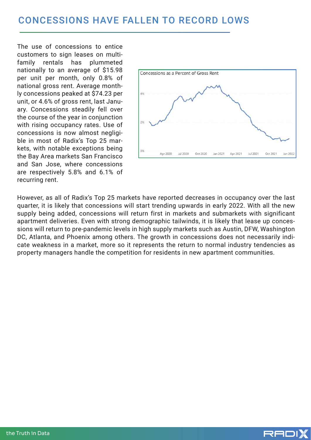The use of concessions to entice customers to sign leases on multifamily rentals has plummeted nationally to an average of \$15.98 per unit per month, only 0.8% of national gross rent. Average monthly concessions peaked at \$74.23 per unit, or 4.6% of gross rent, last January. Concessions steadily fell over the course of the year in conjunction with rising occupancy rates. Use of concessions is now almost negligible in most of Radix's Top 25 markets, with notable exceptions being the Bay Area markets San Francisco and San Jose, where concessions are respectively 5.8% and 6.1% of recurring rent.



However, as all of Radix's Top 25 markets have reported decreases in occupancy over the last quarter, it is likely that concessions will start trending upwards in early 2022. With all the new supply being added, concessions will return first in markets and submarkets with significant apartment deliveries. Even with strong demographic tailwinds, it is likely that lease up concessions will return to pre-pandemic levels in high supply markets such as Austin, DFW, Washington DC, Atlanta, and Phoenix among others. The growth in concessions does not necessarily indicate weakness in a market, more so it represents the return to normal industry tendencies as property managers handle the competition for residents in new apartment communities.

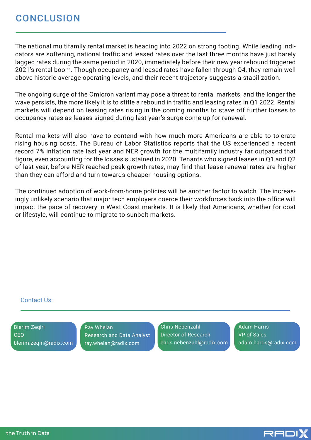The national multifamily rental market is heading into 2022 on strong footing. While leading indicators are softening, national traffic and leased rates over the last three months have just barely lagged rates during the same period in 2020, immediately before their new year rebound triggered 2021's rental boom. Though occupancy and leased rates have fallen through Q4, they remain well above historic average operating levels, and their recent trajectory suggests a stabilization.

The ongoing surge of the Omicron variant may pose a threat to rental markets, and the longer the wave persists, the more likely it is to stifle a rebound in traffic and leasing rates in Q1 2022. Rental markets will depend on leasing rates rising in the coming months to stave off further losses to occupancy rates as leases signed during last year's surge come up for renewal.

Rental markets will also have to contend with how much more Americans are able to tolerate rising housing costs. The Bureau of Labor Statistics reports that the US experienced a recent record 7% inflation rate last year and NER growth for the multifamily industry far outpaced that figure, even accounting for the losses sustained in 2020. Tenants who signed leases in Q1 and Q2 of last year, before NER reached peak growth rates, may find that lease renewal rates are higher than they can afford and turn towards cheaper housing options.

The continued adoption of work-from-home policies will be another factor to watch. The increasingly unlikely scenario that major tech employers coerce their workforces back into the office will impact the pace of recovery in West Coast markets. It is likely that Americans, whether for cost or lifestyle, will continue to migrate to sunbelt markets.

#### Contact Us:

Blerim Zeqiri CEO blerim.zeqiri@radix.com

Ray Whelan Research and Data Analyst ray.whelan@radix.com

Chris Nebenzahl Director of Research chris.nebenzahl@radix.com Adam Harris VP of Sales adam.harris@radix.com

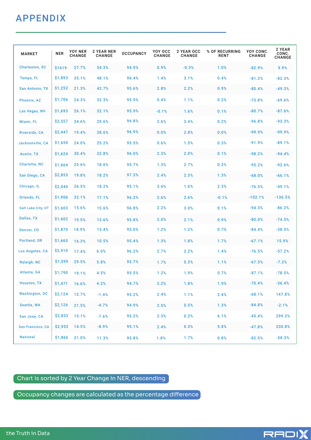## **APPENDIX**

| <b>MARKET</b>          | <b>NER</b> | YOY NER<br><b>CHANGE</b> | 2 YEAR NER<br>CHANGE | <b>OCCUPANCY</b> | YOY OCC<br>CHANGE | <b>2 YEAR OCC</b><br><b>CHANGE</b> | % OF RECURRING<br><b>RENT</b> | YOY CONC.<br><b>CHANGE</b> | 2 YEAR<br>CONC.<br>CHANGE |
|------------------------|------------|--------------------------|----------------------|------------------|-------------------|------------------------------------|-------------------------------|----------------------------|---------------------------|
| <b>Charleston, SC</b>  | \$1619     | 27.7%                    | 54.3%                | 94.9%            | 0.9%              | $-0.3%$                            | 1.0%                          | $-82.9%$                   | 9.9%                      |
| Tampa, FL              | \$1,893    | 35.1%                    | 48.1%                | 96.4%            | 1.4%              | 3.1%                               | 0.4%                          | $-81.2%$                   | $-82.3%$                  |
| <b>San Antonio, TX</b> | \$1,252    | 21.3%                    | 42.7%                | 95.6%            | 2.8%              | 2.2%                               | 0.9%                          | $-80.4%$                   | $-49.3%$                  |
| Phoenix, AZ            | \$1,706    | 24.3%                    | 32.3%                | 95.9%            | 0.4%              | 1.1%                               | 0.2%                          | $-73.8%$                   | $-69.6%$                  |
| Las Vegas, NV          | \$1,693    | 26.1%                    | 32.1%                | 95.9%            | $-0.1%$           | 1.6%                               | 0.1%                          | $-80.7%$                   | $-87.6%$                  |
| Miami, FL              | \$2,557    | 34.6%                    | 29.6%                | 96.8%            | 2.6%              | 3.4%                               | 0.2%                          | $-96.8%$                   | $-93.3%$                  |
| Riverside, CA          | \$2,447    | 19.4%                    | 28.6%                | 96.9%            | 0.0%              | 2.8%                               | 0.0%                          | $-99.9%$                   | $-99.9%$                  |
| Jacksonville, CA       | \$1,650    | 24.0%                    | 25.2%                | 95.5%            | 0.6%              | 1.5%                               | 0.3%                          | $-91.9%$                   | $-89.1%$                  |
| <b>Austin, TX</b>      | \$1,624    | 30.4%                    | 22.8%                | 96.0%            | 2.3%              | 2.0%                               | 0.1%                          | $-98.2%$                   | $-94.4%$                  |
| <b>Charlotte, NC</b>   | \$1,664    | 25.6%                    | 18.6%                | 95.7%            | 1.3%              | 2.7%                               | 0.3%                          | $-95.2%$                   | $-92.6%$                  |
| San Diego, CA          | \$2,853    | 19.8%                    | 18.2%                | 97.3%            | 2.4%              | 2.3%                               | 1.3%                          | $-68.0%$                   | $-66.1%$                  |
| Chicago, IL            | \$2,040    | 26.5%                    | 18.2%                | 95.1%            | 3.6%              | 1.6%                               | 2.3%                          | $-76.5%$                   | $-49.1%$                  |
| Orlando, FL            | \$1,906    | 32.1%                    | 17.1%                | 96.2%            | 2.6%              | 2.6%                               | $-0.1%$                       | $-102.1%$                  | $-136.5%$                 |
| Salt Lake City, UT     | \$1,603    | 15.6%                    | 15.6%                | 96.8%            | 2.2%              | 3.0%                               | 0.1%                          | $-94.3%$                   | $-86.2%$                  |
| Dallas, TX             | \$1,602    | 19.5%                    | 13.6%                | 95.8%            | 2.0%              | 2.1%                               | 0.9%                          | $-80.0%$                   | $-74.5%$                  |
| Denver, CO             | \$1,870    | 18.9%                    | 13.4%                | 95.0%            | 1.2%              | 1.2%                               | 0.7%                          | $-84.4%$                   | $-38.5%$                  |
| Portland, OR           | \$1,665    | 16.3%                    | 10.5%                | 95.4%            | 1.3%              | 1.8%                               | 1.7%                          | $-67.1%$                   | 15.9%                     |
| Los Angeles, CA        | \$2,910    | 17.4%                    | 6.0%                 | 96.2%            | 2.7%              | 2.2%                               | 1.4%                          | $-76.5%$                   | $-57.2%$                  |
| Raleigh, NC            | \$1,595    | 29.5%                    | 5.8%                 | 95.7%            | 1.7%              | 0.3%                               | 1.1%                          | $-67.5%$                   | $-7.2%$                   |
| Atlanta, GA            | \$1,790    | 19.1%                    | 4.5%                 | 95.5%            | 1.2%              | 1.9%                               | 0.7%                          | $-87.1%$                   | $-78.5%$                  |
| <b>Houston, TX</b>     | \$1,471    | 16.6%                    | 4.2%                 | 94.7%            | 2.2%              | 1.8%                               | 1.9%                          | $-70.4%$                   | $-36.4%$                  |
| <b>Washington, DC</b>  | \$2,124    | 12.7%                    | $-1.4%$              | 95.2%            | 2.4%              | 1.1%                               | 2.4%                          | $-68.1%$                   | 147.8%                    |
| Seattle, WA            | \$2,126    | 21.5%                    | $-4.7%$              | 94.9%            | 2.5%              | 0.5%                               | 1.3%                          | $-84.8%$                   | $-2.1%$                   |
| San Jose, CA           | \$2,833    | 15.1%                    | $-7.6%$              | 95.2%            | 2.3%              | 0.2%                               | 6.1%                          | $-45.4%$                   | 299.3%                    |
| San Francisco, CA      | \$2,953    | 14.5%                    | $-8.9%$              | 95.1%            | 2.4%              | 0.3%                               | 5.8%                          | $-47.8%$                   | 230.8%                    |
| <b>National</b>        | \$1,866    | 21.0%                    | 11.3%                | 95.8%            | 1.8%              | 1.7%                               | 0.8%                          | $-82.5%$                   | $-58.3%$                  |

#### Chart is sorted by 2 Year Change in NER, descending

 $\overline{\phantom{a}}$  Occupancy changes are calculated as the percentage difference  $\overline{\phantom{a}}$